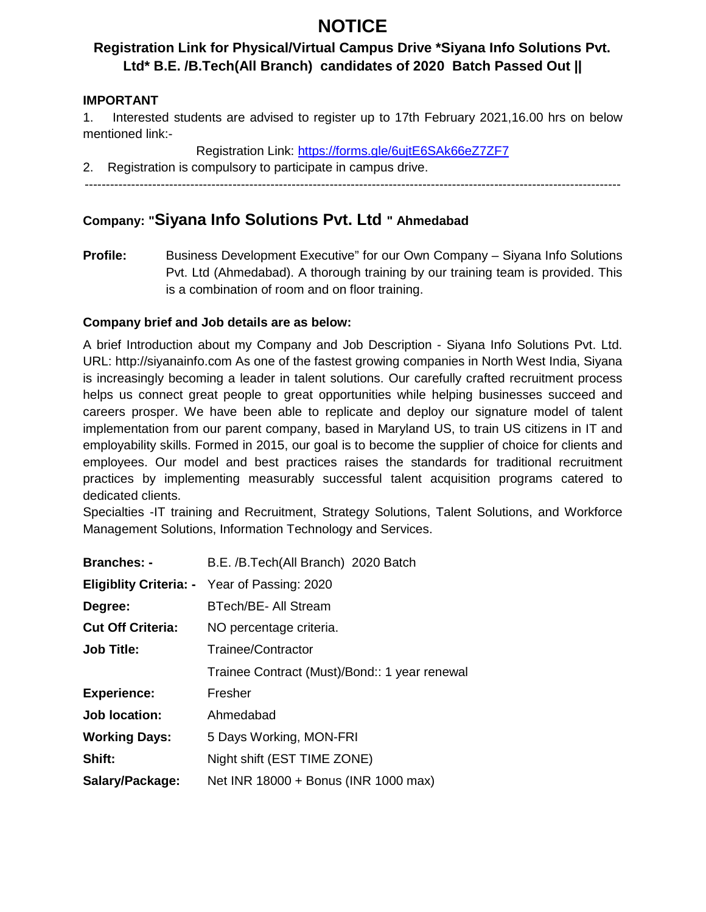# **NOTICE**

# **Registration Link for Physical/Virtual Campus Drive \*Siyana Info Solutions Pvt. Ltd\* B.E. /B.Tech(All Branch) candidates of 2020 Batch Passed Out ||**

### **IMPORTANT**

1. Interested students are advised to register up to 17th February 2021,16.00 hrs on below mentioned link:-

Registration Link: https://forms.gle/6ujtE6SAk66eZ7ZF7

2. Registration is compulsory to participate in campus drive.

## **Company: "Siyana Info Solutions Pvt. Ltd " Ahmedabad**

**Profile:** Business Development Executive" for our Own Company – Siyana Info Solutions Pvt. Ltd (Ahmedabad). A thorough training by our training team is provided. This is a combination of room and on floor training.

### **Company brief and Job details are as below:**

A brief Introduction about my Company and Job Description - Siyana Info Solutions Pvt. Ltd. URL: http://siyanainfo.com As one of the fastest growing companies in North West India, Siyana is increasingly becoming a leader in talent solutions. Our carefully crafted recruitment process helps us connect great people to great opportunities while helping businesses succeed and careers prosper. We have been able to replicate and deploy our signature model of talent implementation from our parent company, based in Maryland US, to train US citizens in IT and employability skills. Formed in 2015, our goal is to become the supplier of choice for clients and employees. Our model and best practices raises the standards for traditional recruitment practices by implementing measurably successful talent acquisition programs catered to dedicated clients.

Specialties -IT training and Recruitment, Strategy Solutions, Talent Solutions, and Workforce Management Solutions, Information Technology and Services.

| <b>Branches: -</b>       | B.E. /B.Tech(All Branch) 2020 Batch                 |
|--------------------------|-----------------------------------------------------|
|                          | <b>Eligiblity Criteria: -</b> Year of Passing: 2020 |
| Degree:                  | BTech/BE- All Stream                                |
| <b>Cut Off Criteria:</b> | NO percentage criteria.                             |
| <b>Job Title:</b>        | Trainee/Contractor                                  |
|                          | Trainee Contract (Must)/Bond:: 1 year renewal       |
| <b>Experience:</b>       | Fresher                                             |
| <b>Job location:</b>     | Ahmedabad                                           |
| <b>Working Days:</b>     | 5 Days Working, MON-FRI                             |
| Shift:                   | Night shift (EST TIME ZONE)                         |
| Salary/Package:          | Net INR 18000 + Bonus (INR 1000 max)                |